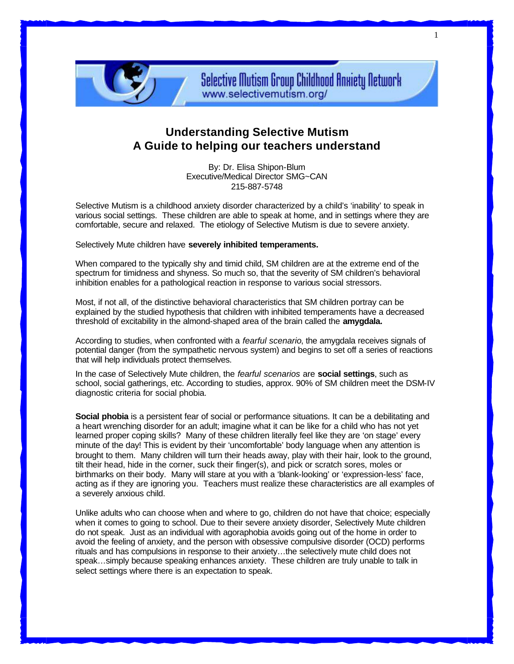

**Selective Mutism Group Childhood Anniety Network** www.selectivemutism.org/

## **Understanding Selective Mutism A Guide to helping our teachers understand**

By: Dr. Elisa Shipon-Blum Executive/Medical Director SMG~CAN 215-887-5748

Selective Mutism is a childhood anxiety disorder characterized by a child's 'inability' to speak in various social settings. These children are able to speak at home, and in settings where they are comfortable, secure and relaxed. The etiology of Selective Mutism is due to severe anxiety.

Selectively Mute children have **severely inhibited temperaments.**

When compared to the typically shy and timid child, SM children are at the extreme end of the spectrum for timidness and shyness. So much so, that the severity of SM children's behavioral inhibition enables for a pathological reaction in response to various social stressors.

Most, if not all, of the distinctive behavioral characteristics that SM children portray can be explained by the studied hypothesis that children with inhibited temperaments have a decreased threshold of excitability in the almond-shaped area of the brain called the **amygdala.**

According to studies, when confronted with a *fearful scenario*, the amygdala receives signals of potential danger (from the sympathetic nervous system) and begins to set off a series of reactions that will help individuals protect themselves.

In the case of Selectively Mute children, the *fearful scenarios* are **social settings**, such as school, social gatherings, etc. According to studies, approx. 90% of SM children meet the DSM-IV diagnostic criteria for social phobia.

**Social phobia** is a persistent fear of social or performance situations. It can be a debilitating and a heart wrenching disorder for an adult; imagine what it can be like for a child who has not yet learned proper coping skills? Many of these children literally feel like they are 'on stage' every minute of the day! This is evident by their 'uncomfortable' body language when any attention is brought to them. Many children will turn their heads away, play with their hair, look to the ground, tilt their head, hide in the corner, suck their finger(s), and pick or scratch sores, moles or birthmarks on their body. Many will stare at you with a 'blank-looking' or 'expression-less' face, acting as if they are ignoring you. Teachers must realize these characteristics are all examples of a severely anxious child.

Unlike adults who can choose when and where to go, children do not have that choice; especially when it comes to going to school. Due to their severe anxiety disorder, Selectively Mute children do not speak. Just as an individual with agoraphobia avoids going out of the home in order to avoid the feeling of anxiety, and the person with obsessive compulsive disorder (OCD) performs rituals and has compulsions in response to their anxiety…the selectively mute child does not speak…simply because speaking enhances anxiety. These children are truly unable to talk in select settings where there is an expectation to speak.

1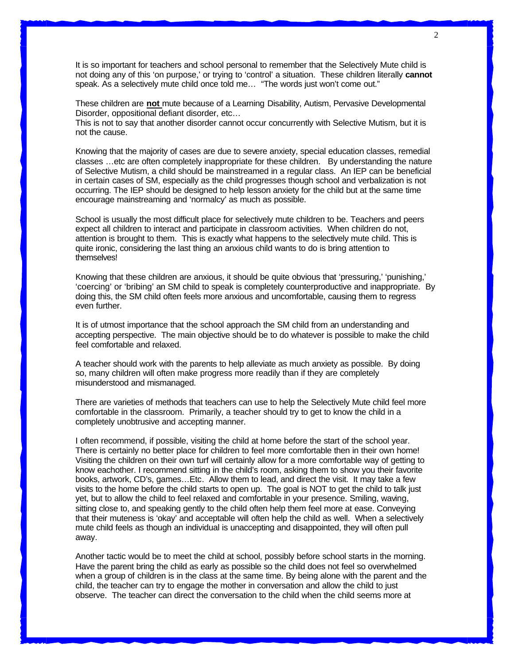It is so important for teachers and school personal to remember that the Selectively Mute child is not doing any of this 'on purpose,' or trying to 'control' a situation. These children literally **cannot** speak. As a selectively mute child once told me… "The words just won't come out."

These children are **not** mute because of a Learning Disability, Autism, Pervasive Developmental Disorder, oppositional defiant disorder, etc…

This is not to say that another disorder cannot occur concurrently with Selective Mutism, but it is not the cause.

Knowing that the majority of cases are due to severe anxiety, special education classes, remedial classes …etc are often completely inappropriate for these children. By understanding the nature of Selective Mutism, a child should be mainstreamed in a regular class. An IEP can be beneficial in certain cases of SM, especially as the child progresses though school and verbalization is not occurring. The IEP should be designed to help lesson anxiety for the child but at the same time encourage mainstreaming and 'normalcy' as much as possible.

School is usually the most difficult place for selectively mute children to be. Teachers and peers expect all children to interact and participate in classroom activities. When children do not, attention is brought to them. This is exactly what happens to the selectively mute child. This is quite ironic, considering the last thing an anxious child wants to do is bring attention to themselves!

Knowing that these children are anxious, it should be quite obvious that 'pressuring,' 'punishing,' 'coercing' or 'bribing' an SM child to speak is completely counterproductive and inappropriate. By doing this, the SM child often feels more anxious and uncomfortable, causing them to regress even further.

It is of utmost importance that the school approach the SM child from an understanding and accepting perspective. The main objective should be to do whatever is possible to make the child feel comfortable and relaxed.

A teacher should work with the parents to help alleviate as much anxiety as possible. By doing so, many children will often make progress more readily than if they are completely misunderstood and mismanaged.

There are varieties of methods that teachers can use to help the Selectively Mute child feel more comfortable in the classroom. Primarily, a teacher should try to get to know the child in a completely unobtrusive and accepting manner.

I often recommend, if possible, visiting the child at home before the start of the school year. There is certainly no better place for children to feel more comfortable then in their own home! Visiting the children on their own turf will certainly allow for a more comfortable way of getting to know eachother. I recommend sitting in the child's room, asking them to show you their favorite books, artwork, CD's, games…Etc. Allow them to lead, and direct the visit. It may take a few visits to the home before the child starts to open up. The goal is NOT to get the child to talk just yet, but to allow the child to feel relaxed and comfortable in your presence. Smiling, waving, sitting close to, and speaking gently to the child often help them feel more at ease. Conveying that their muteness is 'okay' and acceptable will often help the child as well. When a selectively mute child feels as though an individual is unaccepting and disappointed, they will often pull away.

Another tactic would be to meet the child at school, possibly before school starts in the morning. Have the parent bring the child as early as possible so the child does not feel so overwhelmed when a group of children is in the class at the same time. By being alone with the parent and the child, the teacher can try to engage the mother in conversation and allow the child to just observe. The teacher can direct the conversation to the child when the child seems more at